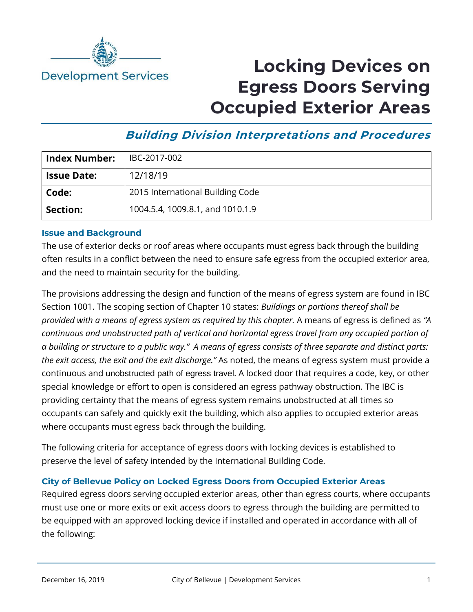

# **Locking Devices on Egress Doors Serving Occupied Exterior Areas**

## **Building Division Interpretations and Procedures**

| <b>Index Number:</b> | IBC-2017-002                     |
|----------------------|----------------------------------|
| <b>Issue Date:</b>   | 12/18/19                         |
| Code:                | 2015 International Building Code |
| Section:             | 1004.5.4, 1009.8.1, and 1010.1.9 |

### **Issue and Background**

The use of exterior decks or roof areas where occupants must egress back through the building often results in a conflict between the need to ensure safe egress from the occupied exterior area, and the need to maintain security for the building.

The provisions addressing the design and function of the means of egress system are found in IBC Section 1001. The scoping section of Chapter 10 states: *Buildings or portions thereof shall be provided with a means of egress system as required by this chapter.* A means of egress is defined as *"A continuous and unobstructed path of vertical and horizontal egress travel from any occupied portion of a building or structure to a public way." A means of egress consists of three separate and distinct parts: the exit access, the exit and the exit discharge."* As noted, the means of egress system must provide a continuous and unobstructed path of egress travel. A locked door that requires a code, key, or other special knowledge or effort to open is considered an egress pathway obstruction. The IBC is providing certainty that the means of egress system remains unobstructed at all times so occupants can safely and quickly exit the building, which also applies to occupied exterior areas where occupants must egress back through the building.

The following criteria for acceptance of egress doors with locking devices is established to preserve the level of safety intended by the International Building Code.

### **City of Bellevue Policy on Locked Egress Doors from Occupied Exterior Areas**

Required egress doors serving occupied exterior areas, other than egress courts, where occupants must use one or more exits or exit access doors to egress through the building are permitted to be equipped with an approved locking device if installed and operated in accordance with all of the following: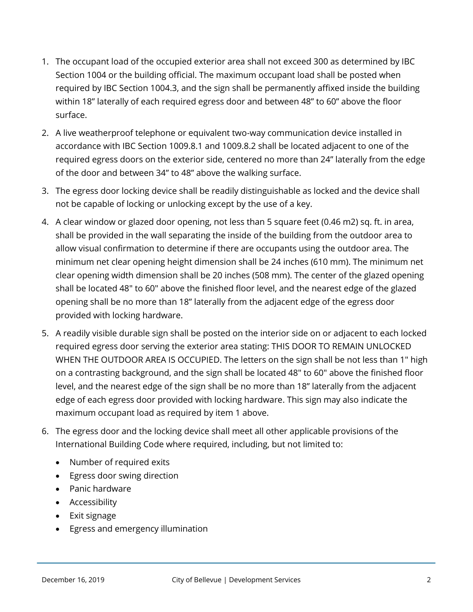- 1. The occupant load of the occupied exterior area shall not exceed 300 as determined by IBC Section 1004 or the building official. The maximum occupant load shall be posted when required by IBC Section 1004.3, and the sign shall be permanently affixed inside the building within 18" laterally of each required egress door and between 48" to 60" above the floor surface.
- 2. A live weatherproof telephone or equivalent two-way communication device installed in accordance with IBC Section 1009.8.1 and 1009.8.2 shall be located adjacent to one of the required egress doors on the exterior side, centered no more than 24" laterally from the edge of the door and between 34" to 48" above the walking surface.
- 3. The egress door locking device shall be readily distinguishable as locked and the device shall not be capable of locking or unlocking except by the use of a key.
- 4. A clear window or glazed door opening, not less than 5 square feet (0.46 m2) sq. ft. in area, shall be provided in the wall separating the inside of the building from the outdoor area to allow visual confirmation to determine if there are occupants using the outdoor area. The minimum net clear opening height dimension shall be 24 inches (610 mm). The minimum net clear opening width dimension shall be 20 inches (508 mm). The center of the glazed opening shall be located 48" to 60" above the finished floor level, and the nearest edge of the glazed opening shall be no more than 18" laterally from the adjacent edge of the egress door provided with locking hardware.
- 5. A readily visible durable sign shall be posted on the interior side on or adjacent to each locked required egress door serving the exterior area stating: THIS DOOR TO REMAIN UNLOCKED WHEN THE OUTDOOR AREA IS OCCUPIED. The letters on the sign shall be not less than 1" high on a contrasting background, and the sign shall be located 48" to 60" above the finished floor level, and the nearest edge of the sign shall be no more than 18" laterally from the adjacent edge of each egress door provided with locking hardware. This sign may also indicate the maximum occupant load as required by item 1 above.
- 6. The egress door and the locking device shall meet all other applicable provisions of the International Building Code where required, including, but not limited to:
	- Number of required exits
	- Egress door swing direction
	- Panic hardware
	- Accessibility
	- Exit signage
	- Egress and emergency illumination